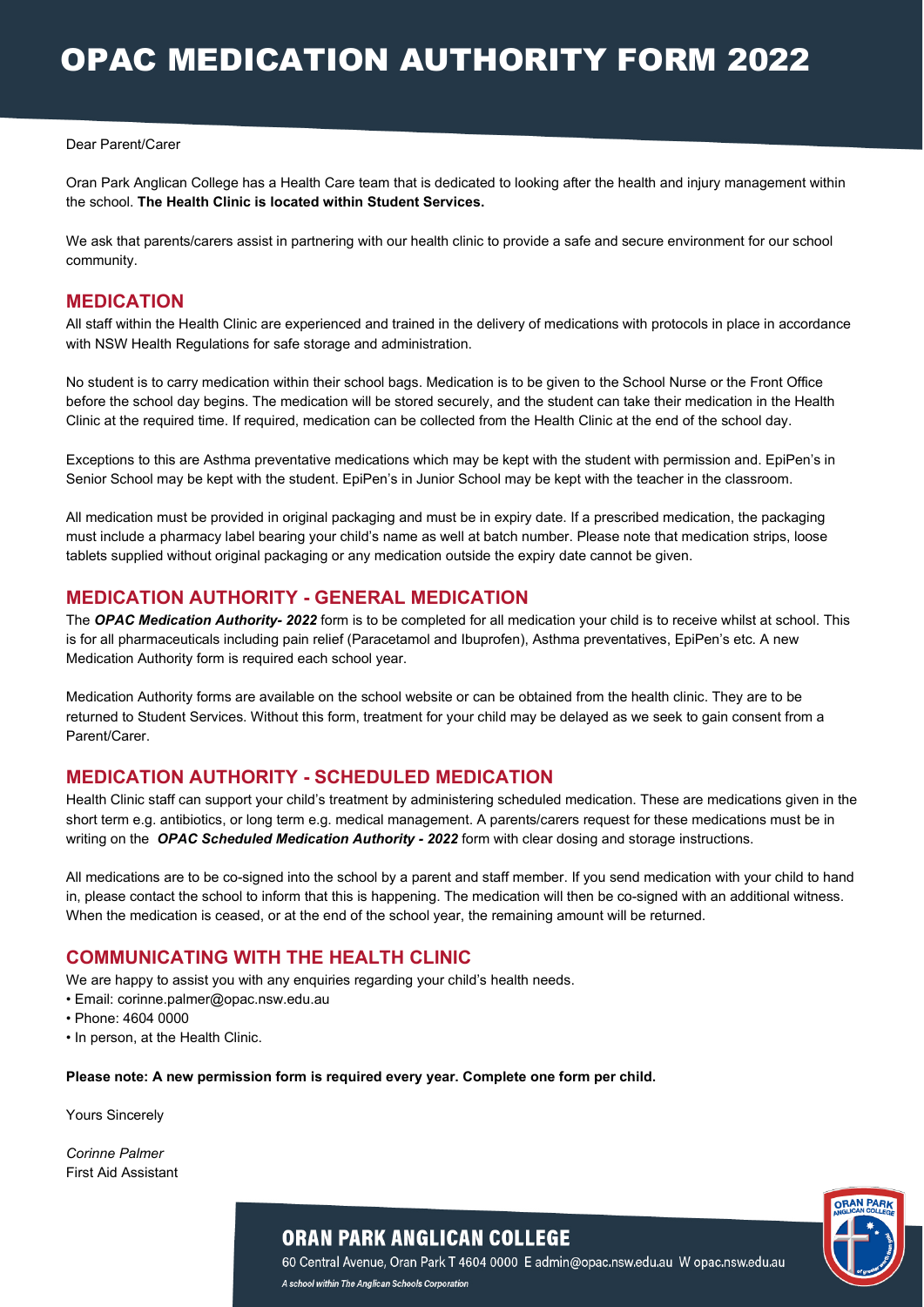#### Dear Parent/Carer

Oran Park Anglican College has a Health Care team that is dedicated to looking after the health and injury management within the school. **The Health Clinic is located within Student Services.**

We ask that parents/carers assist in partnering with our health clinic to provide a safe and secure environment for our school community.

### **MEDICATION**

All staff within the Health Clinic are experienced and trained in the delivery of medications with protocols in place in accordance with NSW Health Regulations for safe storage and administration.

No student is to carry medication within their school bags. Medication is to be given to the School Nurse or the Front Office before the school day begins. The medication will be stored securely, and the student can take their medication in the Health Clinic at the required time. If required, medication can be collected from the Health Clinic at the end of the school day.

Exceptions to this are Asthma preventative medications which may be kept with the student with permission and. EpiPen's in Senior School may be kept with the student. EpiPen's in Junior School may be kept with the teacher in the classroom.

All medication must be provided in original packaging and must be in expiry date. If a prescribed medication, the packaging must include a pharmacy label bearing your child's name as well at batch number. Please note that medication strips, loose tablets supplied without original packaging or any medication outside the expiry date cannot be given.

### **MEDICATION AUTHORITY - GENERAL MEDICATION**

The *OPAC Medication Authority- 2022* form is to be completed for all medication your child is to receive whilst at school. This is for all pharmaceuticals including pain relief (Paracetamol and Ibuprofen), Asthma preventatives, EpiPen's etc. A new Medication Authority form is required each school year.

Medication Authority forms are available on the school website or can be obtained from the health clinic. They are to be returned to Student Services. Without this form, treatment for your child may be delayed as we seek to gain consent from a Parent/Carer.

### **MEDICATION AUTHORITY - SCHEDULED MEDICATION**

Health Clinic staff can support your child's treatment by administering scheduled medication. These are medications given in the short term e.g. antibiotics, or long term e.g. medical management. A parents/carers request for these medications must be in writing on the *OPAC Scheduled Medication Authority - 2022* form with clear dosing and storage instructions.

All medications are to be co-signed into the school by a parent and staff member. If you send medication with your child to hand in, please contact the school to inform that this is happening. The medication will then be co-signed with an additional witness. When the medication is ceased, or at the end of the school year, the remaining amount will be returned.

### **COMMUNICATING WITH THE HEALTH CLINIC**

We are happy to assist you with any enquiries regarding your child's health needs.

- Email: corinne.palmer@opac.nsw.edu.au
- Phone: 4604 0000
- In person, at the Health Clinic.

**Please note: A new permission form is required every year. Complete one form per child.**

Yours Sincerely

*Corinne Palmer* First Aid Assistant



**ORAN PARK ANGLICAN COLLEGE** 

60 Central Avenue, Oran Park T 4604 0000 E admin@opac.nsw.edu.au W opac.nsw.edu.au A school within The Anglican Schools Corporation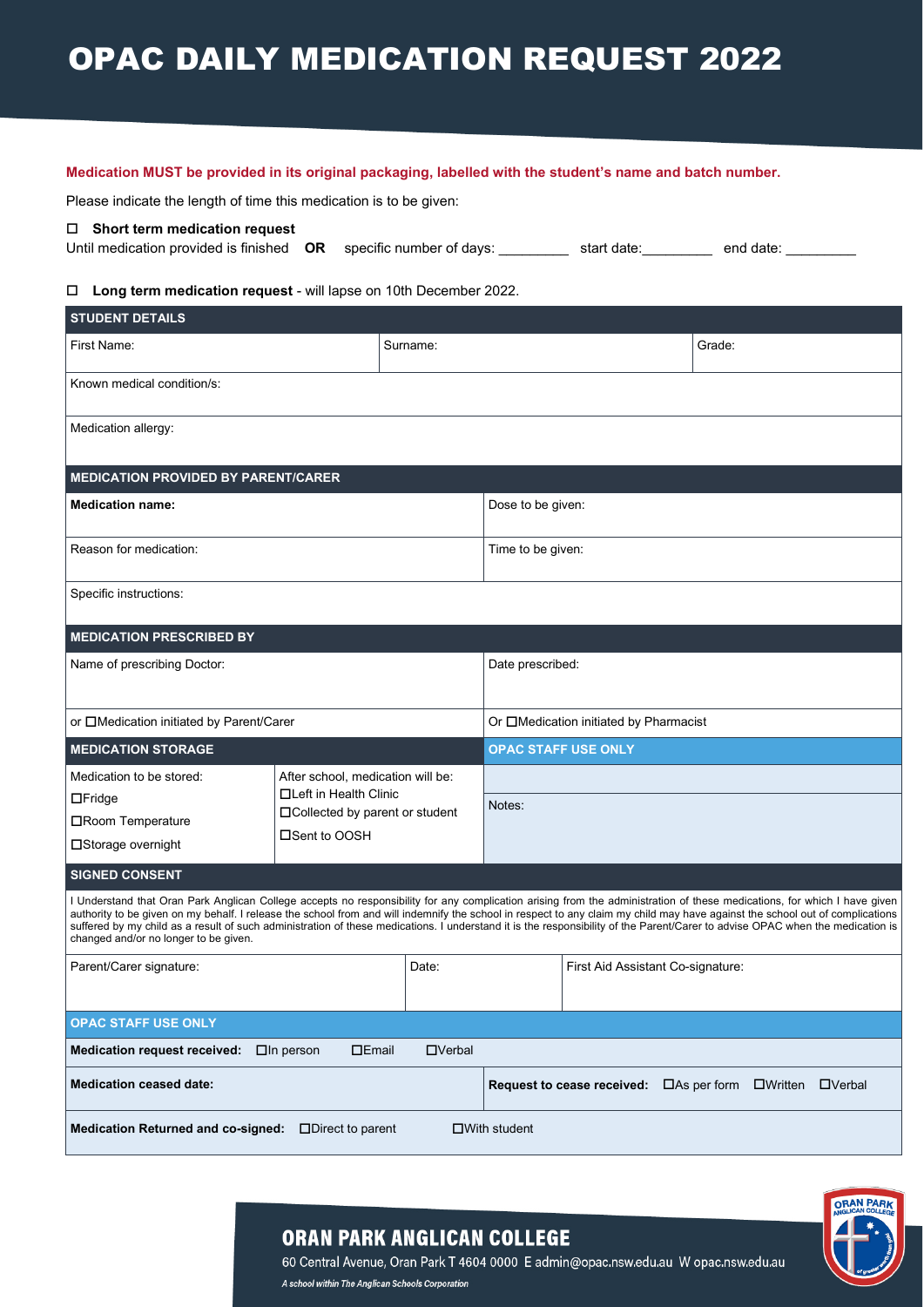# OPAC DAILY MEDICATION REQUEST 2022

#### **Medication MUST be provided in its original packaging, labelled with the student's name and batch number.**

Please indicate the length of time this medication is to be given:

#### **Short term medication request**

Until medication provided is finished **OR** specific number of days: \_\_\_\_\_\_\_\_\_ start date: \_\_\_\_\_\_\_\_ end date: \_\_\_\_\_\_\_\_

#### **Long term medication request** - will lapse on 10th December 2022.

| <b>STUDENT DETAILS</b>                                                                                                                                                                                                                                                                                                                                                                                                                                                                                                                                                              |                                                                                                                  |               |                   |                                                         |        |  |            |
|-------------------------------------------------------------------------------------------------------------------------------------------------------------------------------------------------------------------------------------------------------------------------------------------------------------------------------------------------------------------------------------------------------------------------------------------------------------------------------------------------------------------------------------------------------------------------------------|------------------------------------------------------------------------------------------------------------------|---------------|-------------------|---------------------------------------------------------|--------|--|------------|
| First Name:                                                                                                                                                                                                                                                                                                                                                                                                                                                                                                                                                                         | Surname:                                                                                                         |               |                   |                                                         | Grade: |  |            |
| Known medical condition/s:                                                                                                                                                                                                                                                                                                                                                                                                                                                                                                                                                          |                                                                                                                  |               |                   |                                                         |        |  |            |
| Medication allergy:                                                                                                                                                                                                                                                                                                                                                                                                                                                                                                                                                                 |                                                                                                                  |               |                   |                                                         |        |  |            |
| <b>MEDICATION PROVIDED BY PARENT/CARER</b>                                                                                                                                                                                                                                                                                                                                                                                                                                                                                                                                          |                                                                                                                  |               |                   |                                                         |        |  |            |
| <b>Medication name:</b>                                                                                                                                                                                                                                                                                                                                                                                                                                                                                                                                                             |                                                                                                                  |               | Dose to be given: |                                                         |        |  |            |
| Reason for medication:                                                                                                                                                                                                                                                                                                                                                                                                                                                                                                                                                              |                                                                                                                  |               | Time to be given: |                                                         |        |  |            |
| Specific instructions:                                                                                                                                                                                                                                                                                                                                                                                                                                                                                                                                                              |                                                                                                                  |               |                   |                                                         |        |  |            |
| <b>MEDICATION PRESCRIBED BY</b>                                                                                                                                                                                                                                                                                                                                                                                                                                                                                                                                                     |                                                                                                                  |               |                   |                                                         |        |  |            |
| Name of prescribing Doctor:                                                                                                                                                                                                                                                                                                                                                                                                                                                                                                                                                         | Date prescribed:                                                                                                 |               |                   |                                                         |        |  |            |
| or □Medication initiated by Parent/Carer                                                                                                                                                                                                                                                                                                                                                                                                                                                                                                                                            | Or □Medication initiated by Pharmacist                                                                           |               |                   |                                                         |        |  |            |
| <b>MEDICATION STORAGE</b>                                                                                                                                                                                                                                                                                                                                                                                                                                                                                                                                                           | <b>OPAC STAFF USE ONLY</b>                                                                                       |               |                   |                                                         |        |  |            |
| Medication to be stored:<br>$\Box$ Fridge<br>□ Room Temperature<br>□Storage overnight                                                                                                                                                                                                                                                                                                                                                                                                                                                                                               | After school, medication will be:<br>□Left in Health Clinic<br>□ Collected by parent or student<br>□Sent to OOSH |               | Notes:            |                                                         |        |  |            |
| <b>SIGNED CONSENT</b>                                                                                                                                                                                                                                                                                                                                                                                                                                                                                                                                                               |                                                                                                                  |               |                   |                                                         |        |  |            |
| I Understand that Oran Park Anglican College accepts no responsibility for any complication arising from the administration of these medications, for which I have given<br>authority to be given on my behalf. I release the school from and will indemnify the school in respect to any claim my child may have against the school out of complications<br>suffered by my child as a result of such administration of these medications. I understand it is the responsibility of the Parent/Carer to advise OPAC when the medication is<br>changed and/or no longer to be given. |                                                                                                                  |               |                   |                                                         |        |  |            |
| Parent/Carer signature:                                                                                                                                                                                                                                                                                                                                                                                                                                                                                                                                                             | Date:                                                                                                            |               |                   | First Aid Assistant Co-signature:                       |        |  |            |
| <b>OPAC STAFF USE ONLY</b>                                                                                                                                                                                                                                                                                                                                                                                                                                                                                                                                                          |                                                                                                                  |               |                   |                                                         |        |  |            |
| <b>Medication request received:</b>                                                                                                                                                                                                                                                                                                                                                                                                                                                                                                                                                 | $E$ <sub>mail</sub><br>$\Box$ In person                                                                          | $\Box$ Verbal |                   |                                                         |        |  |            |
| <b>Medication ceased date:</b>                                                                                                                                                                                                                                                                                                                                                                                                                                                                                                                                                      |                                                                                                                  |               |                   | <b>Request to cease received:</b> □As per form □Written |        |  | $D$ Verbal |
| <b>Medication Returned and co-signed:</b><br>$\Box$ Direct to parent<br>$\Box$ With student                                                                                                                                                                                                                                                                                                                                                                                                                                                                                         |                                                                                                                  |               |                   |                                                         |        |  |            |



## **ORAN PARK ANGLICAN COLLEGE**

60 Central Avenue, Oran Park T 4604 0000 E admin@opac.nsw.edu.au W opac.nsw.edu.au A school within The Anglican Schools Corporation